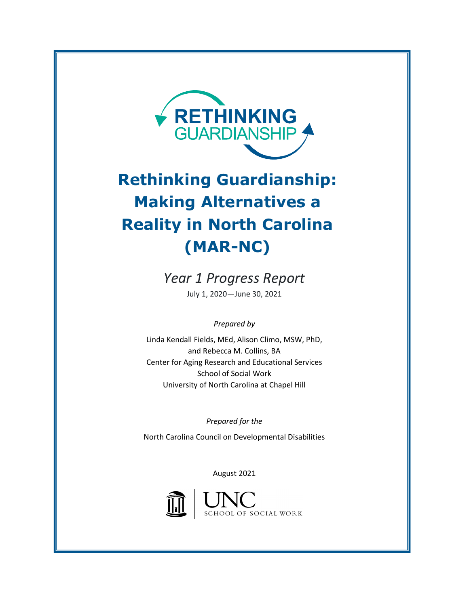

# **Rethinking Guardianship: Making Alternatives a Reality in North Carolina (MAR-NC)**

*Year 1 Progress Report*  July 1, 2020—June 30, 2021

*Prepared by*

Linda Kendall Fields, MEd, Alison Climo, MSW, PhD, and Rebecca M. Collins, BA Center for Aging Research and Educational Services School of Social Work University of North Carolina at Chapel Hill

*Prepared for the*

North Carolina Council on Developmental Disabilities

August 2021



SCHOOL OF SOCIAL WORK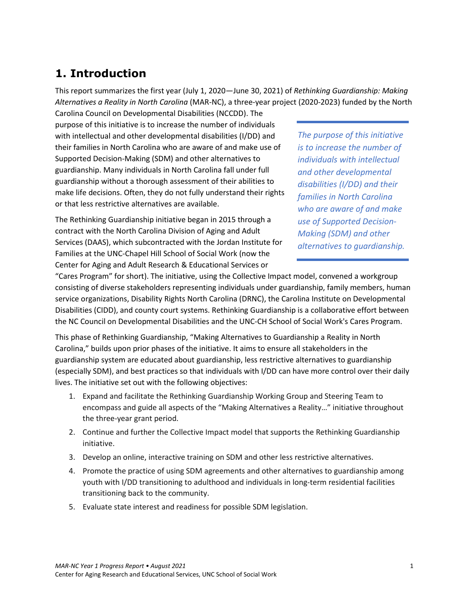# **1. Introduction**

This report summarizes the first year (July 1, 2020—June 30, 2021) of *Rethinking Guardianship: Making Alternatives a Reality in North Carolina* (MAR-NC), a three-year project (2020-2023) funded by the North

Carolina Council on Developmental Disabilities (NCCDD). The purpose of this initiative is to increase the number of individuals with intellectual and other developmental disabilities (I/DD) and their families in North Carolina who are aware of and make use of Supported Decision-Making (SDM) and other alternatives to guardianship. Many individuals in North Carolina fall under full guardianship without a thorough assessment of their abilities to make life decisions. Often, they do not fully understand their rights or that less restrictive alternatives are available.

The Rethinking Guardianship initiative began in 2015 through a contract with the North Carolina Division of Aging and Adult Services (DAAS), which subcontracted with the Jordan Institute for Families at the UNC-Chapel Hill School of Social Work (now the Center for Aging and Adult Research & Educational Services or

*The purpose of this initiative is to increase the number of individuals with intellectual and other developmental disabilities (I/DD) and their families in North Carolina who are aware of and make use of Supported Decision-Making (SDM) and other alternatives to guardianship.*

"Cares Program" for short). The initiative, using the Collective Impact model, convened a workgroup consisting of diverse stakeholders representing individuals under guardianship, family members, human service organizations, Disability Rights North Carolina (DRNC), the Carolina Institute on Developmental Disabilities (CIDD), and county court systems. Rethinking Guardianship is a collaborative effort between the NC Council on Developmental Disabilities and the UNC-CH School of Social Work's Cares Program.

This phase of Rethinking Guardianship, "Making Alternatives to Guardianship a Reality in North Carolina," builds upon prior phases of the initiative. It aims to ensure all stakeholders in the guardianship system are educated about guardianship, less restrictive alternatives to guardianship (especially SDM), and best practices so that individuals with I/DD can have more control over their daily lives. The initiative set out with the following objectives:

- 1. Expand and facilitate the Rethinking Guardianship Working Group and Steering Team to encompass and guide all aspects of the "Making Alternatives a Reality…" initiative throughout the three-year grant period.
- 2. Continue and further the Collective Impact model that supports the Rethinking Guardianship initiative.
- 3. Develop an online, interactive training on SDM and other less restrictive alternatives.
- 4. Promote the practice of using SDM agreements and other alternatives to guardianship among youth with I/DD transitioning to adulthood and individuals in long-term residential facilities transitioning back to the community.
- 5. Evaluate state interest and readiness for possible SDM legislation.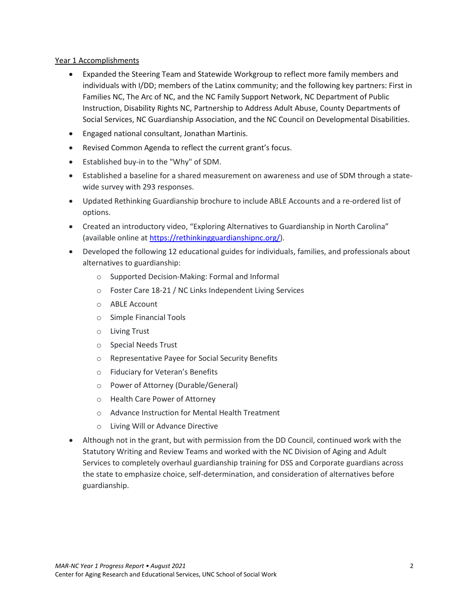#### Year 1 Accomplishments

- Expanded the Steering Team and Statewide Workgroup to reflect more family members and individuals with I/DD; members of the Latinx community; and the following key partners: First in Families NC, The Arc of NC, and the NC Family Support Network, NC Department of Public Instruction, Disability Rights NC, Partnership to Address Adult Abuse, County Departments of Social Services, NC Guardianship Association, and the NC Council on Developmental Disabilities.
- Engaged national consultant, Jonathan Martinis.
- Revised Common Agenda to reflect the current grant's focus.
- Established buy-in to the "Why" of SDM.
- Established a baseline for a shared measurement on awareness and use of SDM through a statewide survey with 293 responses.
- Updated Rethinking Guardianship brochure to include ABLE Accounts and a re-ordered list of options.
- Created an introductory video, "Exploring Alternatives to Guardianship in North Carolina" (available online at [https://rethinkingguardianshipnc.org/\)](https://rethinkingguardianshipnc.org/).
- Developed the following 12 educational guides for individuals, families, and professionals about alternatives to guardianship:
	- o Supported Decision-Making: Formal and Informal
	- o Foster Care 18-21 / NC Links Independent Living Services
	- o ABLE Account
	- o Simple Financial Tools
	- o Living Trust
	- o Special Needs Trust
	- o Representative Payee for Social Security Benefits
	- o Fiduciary for Veteran's Benefits
	- o Power of Attorney (Durable/General)
	- o Health Care Power of Attorney
	- o Advance Instruction for Mental Health Treatment
	- o Living Will or Advance Directive
- Although not in the grant, but with permission from the DD Council, continued work with the Statutory Writing and Review Teams and worked with the NC Division of Aging and Adult Services to completely overhaul guardianship training for DSS and Corporate guardians across the state to emphasize choice, self-determination, and consideration of alternatives before guardianship.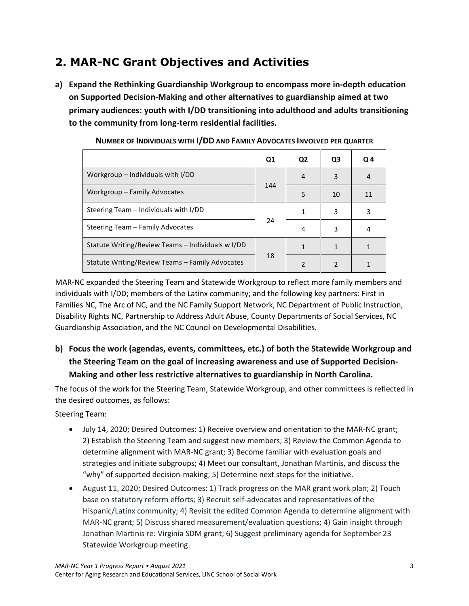# **2. MAR-NC Grant Objectives and Activities**

**a) Expand the Rethinking Guardianship Workgroup to encompass more in-depth education on Supported Decision-Making and other alternatives to guardianship aimed at two primary audiences: youth with I/DD transitioning into adulthood and adults transitioning to the community from long-term residential facilities.** 

|                                                   | Q1  | Q <sub>2</sub> | Q3             | Q <sub>4</sub> |
|---------------------------------------------------|-----|----------------|----------------|----------------|
| Workgroup – Individuals with I/DD                 |     | 4              | 3              | 4              |
| Workgroup - Family Advocates                      | 144 | 5              | 10             | 11             |
| Steering Team – Individuals with I/DD             | 24  | 1              | 3              | 3              |
| Steering Team – Family Advocates                  |     | 4              | 3              | 4              |
| Statute Writing/Review Teams – Individuals w I/DD |     | 1              |                |                |
| Statute Writing/Review Teams - Family Advocates   | 18  | $\mathfrak{p}$ | $\mathfrak{p}$ |                |

**NUMBER OF INDIVIDUALS WITH I/DD AND FAMILY ADVOCATES INVOLVED PER QUARTER**

MAR-NC expanded the Steering Team and Statewide Workgroup to reflect more family members and individuals with I/DD; members of the Latinx community; and the following key partners: First in Families NC, The Arc of NC, and the NC Family Support Network, NC Department of Public Instruction, Disability Rights NC, Partnership to Address Adult Abuse, County Departments of Social Services, NC Guardianship Association, and the NC Council on Developmental Disabilities.

**b) Focus the work (agendas, events, committees, etc.) of both the Statewide Workgroup and the Steering Team on the goal of increasing awareness and use of Supported Decision-Making and other less restrictive alternatives to guardianship in North Carolina.**

The focus of the work for the Steering Team, Statewide Workgroup, and other committees is reflected in the desired outcomes, as follows:

#### Steering Team:

- July 14, 2020; Desired Outcomes: 1) Receive overview and orientation to the MAR-NC grant; 2) Establish the Steering Team and suggest new members; 3) Review the Common Agenda to determine alignment with MAR-NC grant; 3) Become familiar with evaluation goals and strategies and initiate subgroups; 4) Meet our consultant, Jonathan Martinis, and discuss the "why" of supported decision-making; 5) Determine next steps for the initiative.
- August 11, 2020; Desired Outcomes: 1) Track progress on the MAR grant work plan; 2) Touch base on statutory reform efforts; 3) Recruit self-advocates and representatives of the Hispanic/Latinx community; 4) Revisit the edited Common Agenda to determine alignment with MAR-NC grant; 5) Discuss shared measurement/evaluation questions; 4) Gain insight through Jonathan Martinis re: Virginia SDM grant; 6) Suggest preliminary agenda for September 23 Statewide Workgroup meeting.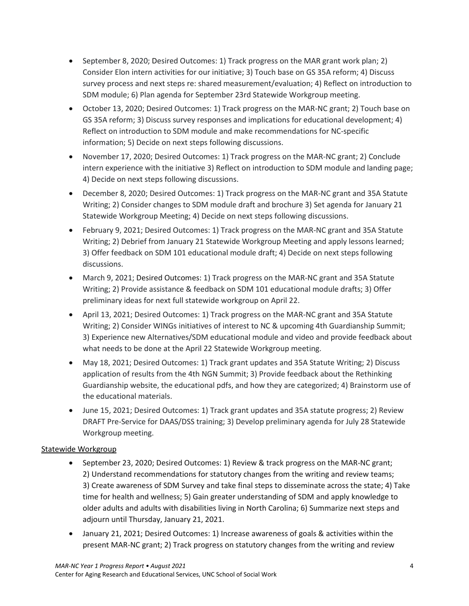- September 8, 2020; Desired Outcomes: 1) Track progress on the MAR grant work plan; 2) Consider Elon intern activities for our initiative; 3) Touch base on GS 35A reform; 4) Discuss survey process and next steps re: shared measurement/evaluation; 4) Reflect on introduction to SDM module; 6) Plan agenda for September 23rd Statewide Workgroup meeting.
- October 13, 2020; Desired Outcomes: 1) Track progress on the MAR-NC grant; 2) Touch base on GS 35A reform; 3) Discuss survey responses and implications for educational development; 4) Reflect on introduction to SDM module and make recommendations for NC-specific information; 5) Decide on next steps following discussions.
- November 17, 2020; Desired Outcomes: 1) Track progress on the MAR-NC grant; 2) Conclude intern experience with the initiative 3) Reflect on introduction to SDM module and landing page; 4) Decide on next steps following discussions.
- December 8, 2020; Desired Outcomes: 1) Track progress on the MAR-NC grant and 35A Statute Writing; 2) Consider changes to SDM module draft and brochure 3) Set agenda for January 21 Statewide Workgroup Meeting; 4) Decide on next steps following discussions.
- February 9, 2021; Desired Outcomes: 1) Track progress on the MAR-NC grant and 35A Statute Writing; 2) Debrief from January 21 Statewide Workgroup Meeting and apply lessons learned; 3) Offer feedback on SDM 101 educational module draft; 4) Decide on next steps following discussions.
- March 9, 2021; Desired Outcomes: 1) Track progress on the MAR-NC grant and 35A Statute Writing; 2) Provide assistance & feedback on SDM 101 educational module drafts; 3) Offer preliminary ideas for next full statewide workgroup on April 22.
- April 13, 2021; Desired Outcomes: 1) Track progress on the MAR-NC grant and 35A Statute Writing; 2) Consider WINGs initiatives of interest to NC & upcoming 4th Guardianship Summit; 3) Experience new Alternatives/SDM educational module and video and provide feedback about what needs to be done at the April 22 Statewide Workgroup meeting.
- May 18, 2021; Desired Outcomes: 1) Track grant updates and 35A Statute Writing; 2) Discuss application of results from the 4th NGN Summit; 3) Provide feedback about the Rethinking Guardianship website, the educational pdfs, and how they are categorized; 4) Brainstorm use of the educational materials.
- June 15, 2021; Desired Outcomes: 1) Track grant updates and 35A statute progress; 2) Review DRAFT Pre-Service for DAAS/DSS training; 3) Develop preliminary agenda for July 28 Statewide Workgroup meeting.

#### Statewide Workgroup

- September 23, 2020; Desired Outcomes: 1) Review & track progress on the MAR-NC grant; 2) Understand recommendations for statutory changes from the writing and review teams; 3) Create awareness of SDM Survey and take final steps to disseminate across the state; 4) Take time for health and wellness; 5) Gain greater understanding of SDM and apply knowledge to older adults and adults with disabilities living in North Carolina; 6) Summarize next steps and adjourn until Thursday, January 21, 2021.
- January 21, 2021; Desired Outcomes: 1) Increase awareness of goals & activities within the present MAR-NC grant; 2) Track progress on statutory changes from the writing and review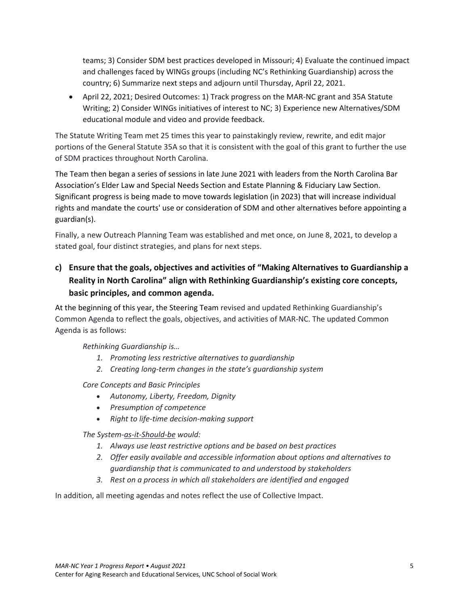teams; 3) Consider SDM best practices developed in Missouri; 4) Evaluate the continued impact and challenges faced by WINGs groups (including NC's Rethinking Guardianship) across the country; 6) Summarize next steps and adjourn until Thursday, April 22, 2021.

• April 22, 2021; Desired Outcomes: 1) Track progress on the MAR-NC grant and 35A Statute Writing; 2) Consider WINGs initiatives of interest to NC; 3) Experience new Alternatives/SDM educational module and video and provide feedback.

The Statute Writing Team met 25 times this year to painstakingly review, rewrite, and edit major portions of the General Statute 35A so that it is consistent with the goal of this grant to further the use of SDM practices throughout North Carolina.

The Team then began a series of sessions in late June 2021 with leaders from the North Carolina Bar Association's Elder Law and Special Needs Section and Estate Planning & Fiduciary Law Section. Significant progress is being made to move towards legislation (in 2023) that will increase individual rights and mandate the courts' use or consideration of SDM and other alternatives before appointing a guardian(s).

Finally, a new Outreach Planning Team was established and met once, on June 8, 2021, to develop a stated goal, four distinct strategies, and plans for next steps.

# **c) Ensure that the goals, objectives and activities of "Making Alternatives to Guardianship a Reality in North Carolina" align with Rethinking Guardianship's existing core concepts, basic principles, and common agenda.**

At the beginning of this year, the Steering Team revised and updated Rethinking Guardianship's Common Agenda to reflect the goals, objectives, and activities of MAR-NC. The updated Common Agenda is as follows:

*Rethinking Guardianship is…*

- *1. Promoting less restrictive alternatives to guardianship*
- *2. Creating long-term changes in the state's guardianship system*

*Core Concepts and Basic Principles*

- *Autonomy, Liberty, Freedom, Dignity*
- *Presumption of competence*
- *Right to life-time decision-making support*

*The System-as-it-Should-be would:*

- *1. Always use least restrictive options and be based on best practices*
- *2. Offer easily available and accessible information about options and alternatives to guardianship that is communicated to and understood by stakeholders*
- *3. Rest on a process in which all stakeholders are identified and engaged*

In addition, all meeting agendas and notes reflect the use of Collective Impact.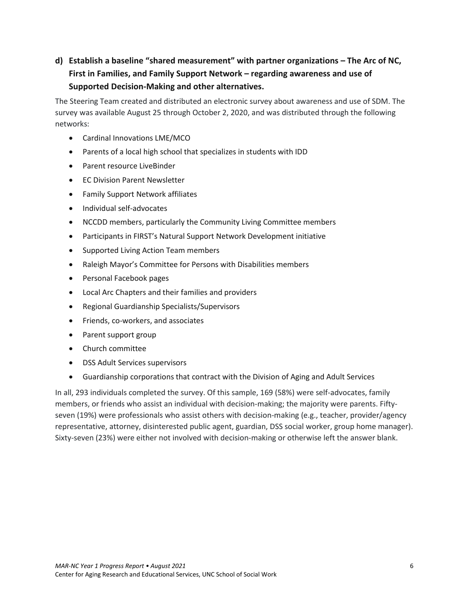# **d) Establish a baseline "shared measurement" with partner organizations – The Arc of NC, First in Families, and Family Support Network – regarding awareness and use of Supported Decision-Making and other alternatives.**

The Steering Team created and distributed an electronic survey about awareness and use of SDM. The survey was available August 25 through October 2, 2020, and was distributed through the following networks:

- Cardinal Innovations LME/MCO
- Parents of a local high school that specializes in students with IDD
- Parent resource LiveBinder
- EC Division Parent Newsletter
- Family Support Network affiliates
- Individual self-advocates
- NCCDD members, particularly the Community Living Committee members
- Participants in FIRST's Natural Support Network Development initiative
- Supported Living Action Team members
- Raleigh Mayor's Committee for Persons with Disabilities members
- Personal Facebook pages
- Local Arc Chapters and their families and providers
- Regional Guardianship Specialists/Supervisors
- Friends, co-workers, and associates
- Parent support group
- Church committee
- DSS Adult Services supervisors
- Guardianship corporations that contract with the Division of Aging and Adult Services

In all, 293 individuals completed the survey. Of this sample, 169 (58%) were self-advocates, family members, or friends who assist an individual with decision-making; the majority were parents. Fiftyseven (19%) were professionals who assist others with decision-making (e.g., teacher, provider/agency representative, attorney, disinterested public agent, guardian, DSS social worker, group home manager). Sixty-seven (23%) were either not involved with decision-making or otherwise left the answer blank.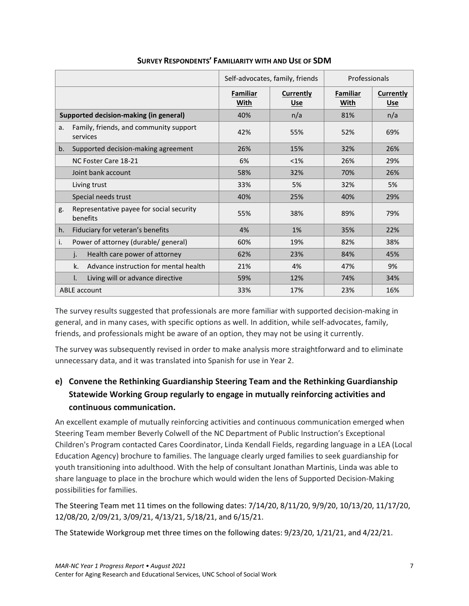|                                                            |                         | Self-advocates, family, friends | Professionals           |                         |
|------------------------------------------------------------|-------------------------|---------------------------------|-------------------------|-------------------------|
|                                                            | <b>Familiar</b><br>With | Currently<br><b>Use</b>         | <b>Familiar</b><br>With | Currently<br><b>Use</b> |
| <b>Supported decision-making (in general)</b>              | 40%                     | n/a                             | 81%                     | n/a                     |
| Family, friends, and community support<br>a.<br>services   | 42%                     | 55%                             | 52%                     | 69%                     |
| Supported decision-making agreement<br>b.                  | 26%                     | 15%                             | 32%                     | 26%                     |
| NC Foster Care 18-21                                       | 6%                      | $< 1\%$                         | 26%                     | 29%                     |
| Joint bank account                                         | 58%                     | 32%                             | 70%                     | 26%                     |
| Living trust                                               | 33%                     | 5%                              | 32%                     | 5%                      |
| Special needs trust                                        | 40%                     | 25%                             | 40%                     | 29%                     |
| Representative payee for social security<br>g.<br>benefits | 55%                     | 38%                             | 89%                     | 79%                     |
| Fiduciary for veteran's benefits<br>h.                     | 4%                      | 1%                              | 35%                     | 22%                     |
| Power of attorney (durable/ general)<br>i.                 | 60%                     | 19%                             | 82%                     | 38%                     |
| Health care power of attorney<br>j.                        | 62%                     | 23%                             | 84%                     | 45%                     |
| k.<br>Advance instruction for mental health                | 21%                     | 4%                              | 47%                     | 9%                      |
| Living will or advance directive<br>I.                     | 59%                     | 12%                             | 74%                     | 34%                     |
| <b>ABLE</b> account                                        | 33%                     | 17%                             | 23%                     | 16%                     |

#### **SURVEY RESPONDENTS' FAMILIARITY WITH AND USE OF SDM**

The survey results suggested that professionals are more familiar with supported decision-making in general, and in many cases, with specific options as well. In addition, while self-advocates, family, friends, and professionals might be aware of an option, they may not be using it currently.

The survey was subsequently revised in order to make analysis more straightforward and to eliminate unnecessary data, and it was translated into Spanish for use in Year 2.

# **e) Convene the Rethinking Guardianship Steering Team and the Rethinking Guardianship Statewide Working Group regularly to engage in mutually reinforcing activities and continuous communication.**

An excellent example of mutually reinforcing activities and continuous communication emerged when Steering Team member Beverly Colwell of the NC Department of Public Instruction's Exceptional Children's Program contacted Cares Coordinator, Linda Kendall Fields, regarding language in a LEA (Local Education Agency) brochure to families. The language clearly urged families to seek guardianship for youth transitioning into adulthood. With the help of consultant Jonathan Martinis, Linda was able to share language to place in the brochure which would widen the lens of Supported Decision-Making possibilities for families.

The Steering Team met 11 times on the following dates: 7/14/20, 8/11/20, 9/9/20, 10/13/20, 11/17/20, 12/08/20, 2/09/21, 3/09/21, 4/13/21, 5/18/21, and 6/15/21.

The Statewide Workgroup met three times on the following dates: 9/23/20, 1/21/21, and 4/22/21.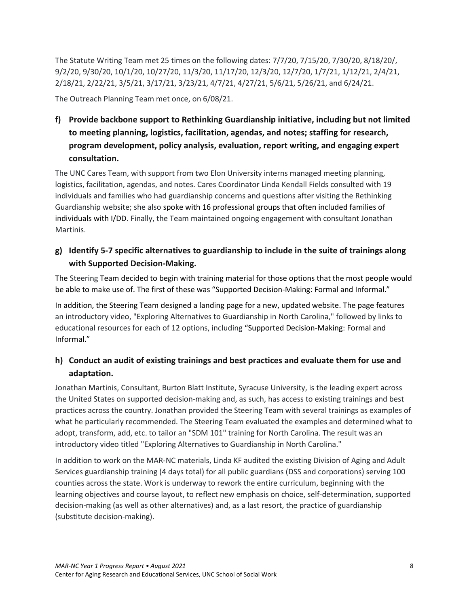The Statute Writing Team met 25 times on the following dates: 7/7/20, 7/15/20, 7/30/20, 8/18/20/, 9/2/20, 9/30/20, 10/1/20, 10/27/20, 11/3/20, 11/17/20, 12/3/20, 12/7/20, 1/7/21, 1/12/21, 2/4/21, 2/18/21, 2/22/21, 3/5/21, 3/17/21, 3/23/21, 4/7/21, 4/27/21, 5/6/21, 5/26/21, and 6/24/21.

The Outreach Planning Team met once, on 6/08/21.

**f) Provide backbone support to Rethinking Guardianship initiative, including but not limited to meeting planning, logistics, facilitation, agendas, and notes; staffing for research, program development, policy analysis, evaluation, report writing, and engaging expert consultation.**

The UNC Cares Team, with support from two Elon University interns managed meeting planning, logistics, facilitation, agendas, and notes. Cares Coordinator Linda Kendall Fields consulted with 19 individuals and families who had guardianship concerns and questions after visiting the Rethinking Guardianship website; she also spoke with 16 professional groups that often included families of individuals with I/DD. Finally, the Team maintained ongoing engagement with consultant Jonathan Martinis.

## **g) Identify 5-7 specific alternatives to guardianship to include in the suite of trainings along with Supported Decision-Making.**

The Steering Team decided to begin with training material for those options that the most people would be able to make use of. The first of these was "Supported Decision-Making: Formal and Informal."

In addition, the Steering Team designed a landing page for a new, updated website. The page features an introductory video, "Exploring Alternatives to Guardianship in North Carolina," followed by links to educational resources for each of 12 options, including "Supported Decision-Making: Formal and Informal."

# **h) Conduct an audit of existing trainings and best practices and evaluate them for use and adaptation.**

Jonathan Martinis, Consultant, Burton Blatt Institute, Syracuse University, is the leading expert across the United States on supported decision-making and, as such, has access to existing trainings and best practices across the country. Jonathan provided the Steering Team with several trainings as examples of what he particularly recommended. The Steering Team evaluated the examples and determined what to adopt, transform, add, etc. to tailor an "SDM 101" training for North Carolina. The result was an introductory video titled "Exploring Alternatives to Guardianship in North Carolina."

In addition to work on the MAR-NC materials, Linda KF audited the existing Division of Aging and Adult Services guardianship training (4 days total) for all public guardians (DSS and corporations) serving 100 counties across the state. Work is underway to rework the entire curriculum, beginning with the learning objectives and course layout, to reflect new emphasis on choice, self-determination, supported decision-making (as well as other alternatives) and, as a last resort, the practice of guardianship (substitute decision-making).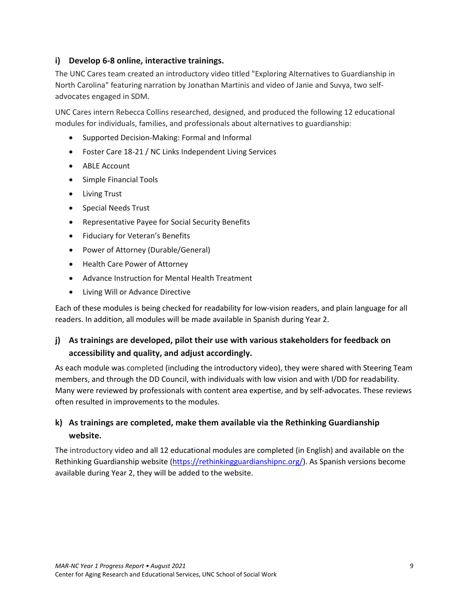#### **i) Develop 6-8 online, interactive trainings.**

The UNC Cares team created an introductory video titled "Exploring Alternatives to Guardianship in North Carolina" featuring narration by Jonathan Martinis and video of Janie and Suvya, two selfadvocates engaged in SDM.

UNC Cares intern Rebecca Collins researched, designed, and produced the following 12 educational modules for individuals, families, and professionals about alternatives to guardianship:

- Supported Decision-Making: Formal and Informal
- Foster Care 18-21 / NC Links Independent Living Services
- ABLE Account
- Simple Financial Tools
- Living Trust
- Special Needs Trust
- Representative Payee for Social Security Benefits
- Fiduciary for Veteran's Benefits
- Power of Attorney (Durable/General)
- Health Care Power of Attorney
- Advance Instruction for Mental Health Treatment
- Living Will or Advance Directive

Each of these modules is being checked for readability for low-vision readers, and plain language for all readers. In addition, all modules will be made available in Spanish during Year 2.

# **j) As trainings are developed, pilot their use with various stakeholders for feedback on accessibility and quality, and adjust accordingly.**

As each module was completed (including the introductory video), they were shared with Steering Team members, and through the DD Council, with individuals with low vision and with I/DD for readability. Many were reviewed by professionals with content area expertise, and by self-advocates. These reviews often resulted in improvements to the modules.

## **k) As trainings are completed, make them available via the Rethinking Guardianship website.**

The introductory video and all 12 educational modules are completed (in English) and available on the Rethinking Guardianship website [\(https://rethinkingguardianshipnc.org/\)](https://rethinkingguardianshipnc.org/). As Spanish versions become available during Year 2, they will be added to the website.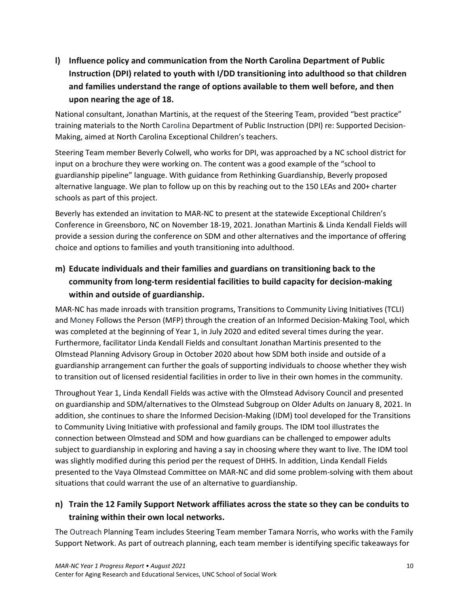**l) Influence policy and communication from the North Carolina Department of Public Instruction (DPI) related to youth with I/DD transitioning into adulthood so that children and families understand the range of options available to them well before, and then upon nearing the age of 18.**

National consultant, Jonathan Martinis, at the request of the Steering Team, provided "best practice" training materials to the North Carolina Department of Public Instruction (DPI) re: Supported Decision-Making, aimed at North Carolina Exceptional Children's teachers.

Steering Team member Beverly Colwell, who works for DPI, was approached by a NC school district for input on a brochure they were working on. The content was a good example of the "school to guardianship pipeline" language. With guidance from Rethinking Guardianship, Beverly proposed alternative language. We plan to follow up on this by reaching out to the 150 LEAs and 200+ charter schools as part of this project.

Beverly has extended an invitation to MAR-NC to present at the statewide Exceptional Children's Conference in Greensboro, NC on November 18-19, 2021. Jonathan Martinis & Linda Kendall Fields will provide a session during the conference on SDM and other alternatives and the importance of offering choice and options to families and youth transitioning into adulthood.

# **m) Educate individuals and their families and guardians on transitioning back to the community from long-term residential facilities to build capacity for decision-making within and outside of guardianship.**

MAR-NC has made inroads with transition programs, Transitions to Community Living Initiatives (TCLI) and Money Follows the Person (MFP) through the creation of an Informed Decision-Making Tool, which was completed at the beginning of Year 1, in July 2020 and edited several times during the year. Furthermore, facilitator Linda Kendall Fields and consultant Jonathan Martinis presented to the Olmstead Planning Advisory Group in October 2020 about how SDM both inside and outside of a guardianship arrangement can further the goals of supporting individuals to choose whether they wish to transition out of licensed residential facilities in order to live in their own homes in the community.

Throughout Year 1, Linda Kendall Fields was active with the Olmstead Advisory Council and presented on guardianship and SDM/alternatives to the Olmstead Subgroup on Older Adults on January 8, 2021. In addition, she continues to share the Informed Decision-Making (IDM) tool developed for the Transitions to Community Living Initiative with professional and family groups. The IDM tool illustrates the connection between Olmstead and SDM and how guardians can be challenged to empower adults subject to guardianship in exploring and having a say in choosing where they want to live. The IDM tool was slightly modified during this period per the request of DHHS. In addition, Linda Kendall Fields presented to the Vaya Olmstead Committee on MAR-NC and did some problem-solving with them about situations that could warrant the use of an alternative to guardianship.

# **n) Train the 12 Family Support Network affiliates across the state so they can be conduits to training within their own local networks.**

The Outreach Planning Team includes Steering Team member Tamara Norris, who works with the Family Support Network. As part of outreach planning, each team member is identifying specific takeaways for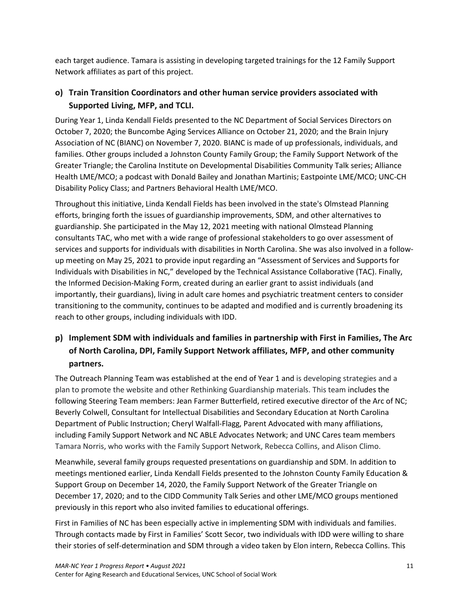each target audience. Tamara is assisting in developing targeted trainings for the 12 Family Support Network affiliates as part of this project.

# **o) Train Transition Coordinators and other human service providers associated with Supported Living, MFP, and TCLI.**

During Year 1, Linda Kendall Fields presented to the NC Department of Social Services Directors on October 7, 2020; the Buncombe Aging Services Alliance on October 21, 2020; and the Brain Injury Association of NC (BIANC) on November 7, 2020. BIANC is made of up professionals, individuals, and families. Other groups included a Johnston County Family Group; the Family Support Network of the Greater Triangle; the Carolina Institute on Developmental Disabilities Community Talk series; Alliance Health LME/MCO; a podcast with Donald Bailey and Jonathan Martinis; Eastpointe LME/MCO; UNC-CH Disability Policy Class; and Partners Behavioral Health LME/MCO.

Throughout this initiative, Linda Kendall Fields has been involved in the state's Olmstead Planning efforts, bringing forth the issues of guardianship improvements, SDM, and other alternatives to guardianship. She participated in the May 12, 2021 meeting with national Olmstead Planning consultants TAC, who met with a wide range of professional stakeholders to go over assessment of services and supports for individuals with disabilities in North Carolina. She was also involved in a followup meeting on May 25, 2021 to provide input regarding an "Assessment of Services and Supports for Individuals with Disabilities in NC," developed by the Technical Assistance Collaborative (TAC). Finally, the Informed Decision-Making Form, created during an earlier grant to assist individuals (and importantly, their guardians), living in adult care homes and psychiatric treatment centers to consider transitioning to the community, continues to be adapted and modified and is currently broadening its reach to other groups, including individuals with IDD.

# **p) Implement SDM with individuals and families in partnership with First in Families, The Arc of North Carolina, DPI, Family Support Network affiliates, MFP, and other community partners.**

The Outreach Planning Team was established at the end of Year 1 and is developing strategies and a plan to promote the website and other Rethinking Guardianship materials. This team includes the following Steering Team members: Jean Farmer Butterfield, retired executive director of the Arc of NC; Beverly Colwell, Consultant for Intellectual Disabilities and Secondary Education at North Carolina Department of Public Instruction; Cheryl Walfall-Flagg, Parent Advocated with many affiliations, including Family Support Network and NC ABLE Advocates Network; and UNC Cares team members Tamara Norris, who works with the Family Support Network, Rebecca Collins, and Alison Climo.

Meanwhile, several family groups requested presentations on guardianship and SDM. In addition to meetings mentioned earlier, Linda Kendall Fields presented to the Johnston County Family Education & Support Group on December 14, 2020, the Family Support Network of the Greater Triangle on December 17, 2020; and to the CIDD Community Talk Series and other LME/MCO groups mentioned previously in this report who also invited families to educational offerings.

First in Families of NC has been especially active in implementing SDM with individuals and families. Through contacts made by First in Families' Scott Secor, two individuals with IDD were willing to share their stories of self-determination and SDM through a video taken by Elon intern, Rebecca Collins. This